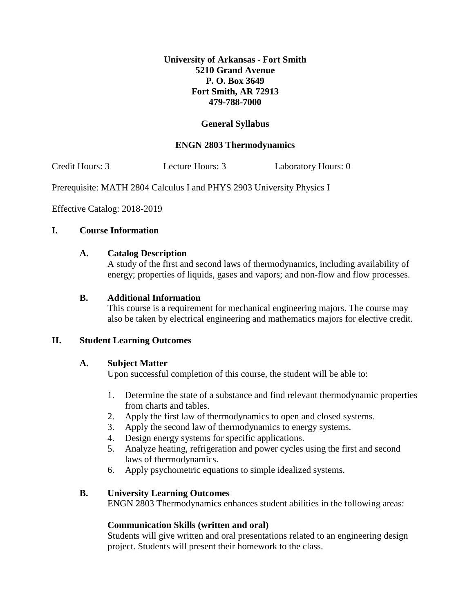## **University of Arkansas - Fort Smith 5210 Grand Avenue P. O. Box 3649 Fort Smith, AR 72913 479-788-7000**

## **General Syllabus**

### **ENGN 2803 Thermodynamics**

Credit Hours: 3 Lecture Hours: 3 Laboratory Hours: 0

Prerequisite: MATH 2804 Calculus I and PHYS 2903 University Physics I

Effective Catalog: 2018-2019

### **I. Course Information**

#### **A. Catalog Description**

A study of the first and second laws of thermodynamics, including availability of energy; properties of liquids, gases and vapors; and non-flow and flow processes.

#### **B. Additional Information**

This course is a requirement for mechanical engineering majors. The course may also be taken by electrical engineering and mathematics majors for elective credit.

#### **II. Student Learning Outcomes**

#### **A. Subject Matter**

Upon successful completion of this course, the student will be able to:

- 1. Determine the state of a substance and find relevant thermodynamic properties from charts and tables.
- 2. Apply the first law of thermodynamics to open and closed systems.
- 3. Apply the second law of thermodynamics to energy systems.
- 4. Design energy systems for specific applications.
- 5. Analyze heating, refrigeration and power cycles using the first and second laws of thermodynamics.
- 6. Apply psychometric equations to simple idealized systems.

#### **B. University Learning Outcomes**

ENGN 2803 Thermodynamics enhances student abilities in the following areas:

#### **Communication Skills (written and oral)**

Students will give written and oral presentations related to an engineering design project. Students will present their homework to the class.